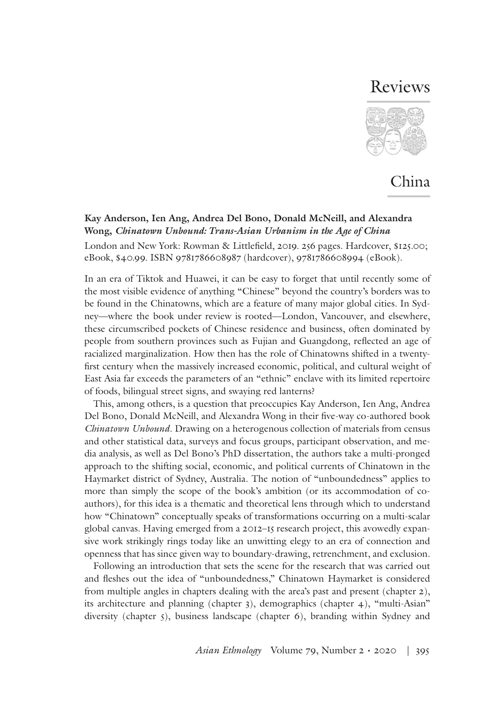## Reviews



## China

## **Kay Anderson, Ien Ang, Andrea Del Bono, Donald McNeill, and Alexandra Wong,** *Chinatown Unbound: Trans-Asian Urbanism in the Age of China*

London and New York: Rowman & Littlefield, 2019. 256 pages. Hardcover, \$125.00; eBook, \$40.99. ISBN 9781786608987 (hardcover), 9781786608994 (eBook).

In an era of Tiktok and Huawei, it can be easy to forget that until recently some of the most visible evidence of anything "Chinese" beyond the country's borders was to be found in the Chinatowns, which are a feature of many major global cities. In Sydney—where the book under review is rooted—London, Vancouver, and elsewhere, these circumscribed pockets of Chinese residence and business, often dominated by people from southern provinces such as Fujian and Guangdong, reflected an age of racialized marginalization. How then has the role of Chinatowns shifted in a twentyfirst century when the massively increased economic, political, and cultural weight of East Asia far exceeds the parameters of an "ethnic" enclave with its limited repertoire of foods, bilingual street signs, and swaying red lanterns?

This, among others, is a question that preoccupies Kay Anderson, Ien Ang, Andrea Del Bono, Donald McNeill, and Alexandra Wong in their five-way co-authored book *Chinatown Unbound*. Drawing on a heterogenous collection of materials from census and other statistical data, surveys and focus groups, participant observation, and media analysis, as well as Del Bono's PhD dissertation, the authors take a multi-pronged approach to the shifting social, economic, and political currents of Chinatown in the Haymarket district of Sydney, Australia. The notion of "unboundedness" applies to more than simply the scope of the book's ambition (or its accommodation of coauthors), for this idea is a thematic and theoretical lens through which to understand how "Chinatown" conceptually speaks of transformations occurring on a multi-scalar global canvas. Having emerged from a 2012–15 research project, this avowedly expansive work strikingly rings today like an unwitting elegy to an era of connection and openness that has since given way to boundary-drawing, retrenchment, and exclusion.

Following an introduction that sets the scene for the research that was carried out and fleshes out the idea of "unboundedness," Chinatown Haymarket is considered from multiple angles in chapters dealing with the area's past and present (chapter 2), its architecture and planning (chapter 3), demographics (chapter 4), "multi-Asian" diversity (chapter 5), business landscape (chapter 6), branding within Sydney and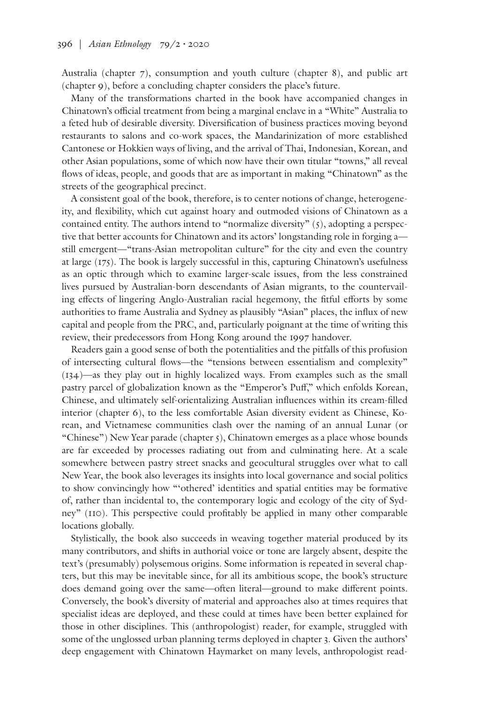Australia (chapter 7), consumption and youth culture (chapter 8), and public art (chapter 9), before a concluding chapter considers the place's future.

Many of the transformations charted in the book have accompanied changes in Chinatown's official treatment from being a marginal enclave in a "White" Australia to a feted hub of desirable diversity. Diversification of business practices moving beyond restaurants to salons and co-work spaces, the Mandarinization of more established Cantonese or Hokkien ways of living, and the arrival of Thai, Indonesian, Korean, and other Asian populations, some of which now have their own titular "towns," all reveal flows of ideas, people, and goods that are as important in making "Chinatown" as the streets of the geographical precinct.

A consistent goal of the book, therefore, is to center notions of change, heterogeneity, and flexibility, which cut against hoary and outmoded visions of Chinatown as a contained entity. The authors intend to "normalize diversity"  $(5)$ , adopting a perspective that better accounts for Chinatown and its actors' longstanding role in forging a still emergent—"trans-Asian metropolitan culture" for the city and even the country at large (175). The book is largely successful in this, capturing Chinatown's usefulness as an optic through which to examine larger-scale issues, from the less constrained lives pursued by Australian-born descendants of Asian migrants, to the countervailing effects of lingering Anglo-Australian racial hegemony, the fitful efforts by some authorities to frame Australia and Sydney as plausibly "Asian" places, the influx of new capital and people from the PRC, and, particularly poignant at the time of writing this review, their predecessors from Hong Kong around the 1997 handover.

Readers gain a good sense of both the potentialities and the pitfalls of this profusion of intersecting cultural flows—the "tensions between essentialism and complexity" (134)—as they play out in highly localized ways. From examples such as the small pastry parcel of globalization known as the "Emperor's Puff," which enfolds Korean, Chinese, and ultimately self-orientalizing Australian influences within its cream-filled interior (chapter 6), to the less comfortable Asian diversity evident as Chinese, Korean, and Vietnamese communities clash over the naming of an annual Lunar (or "Chinese") New Year parade (chapter 5), Chinatown emerges as a place whose bounds are far exceeded by processes radiating out from and culminating here. At a scale somewhere between pastry street snacks and geocultural struggles over what to call New Year, the book also leverages its insights into local governance and social politics to show convincingly how "'othered' identities and spatial entities may be formative of, rather than incidental to, the contemporary logic and ecology of the city of Sydney" (110). This perspective could profitably be applied in many other comparable locations globally.

Stylistically, the book also succeeds in weaving together material produced by its many contributors, and shifts in authorial voice or tone are largely absent, despite the text's (presumably) polysemous origins. Some information is repeated in several chapters, but this may be inevitable since, for all its ambitious scope, the book's structure does demand going over the same—often literal—ground to make different points. Conversely, the book's diversity of material and approaches also at times requires that specialist ideas are deployed, and these could at times have been better explained for those in other disciplines. This (anthropologist) reader, for example, struggled with some of the unglossed urban planning terms deployed in chapter 3. Given the authors' deep engagement with Chinatown Haymarket on many levels, anthropologist read